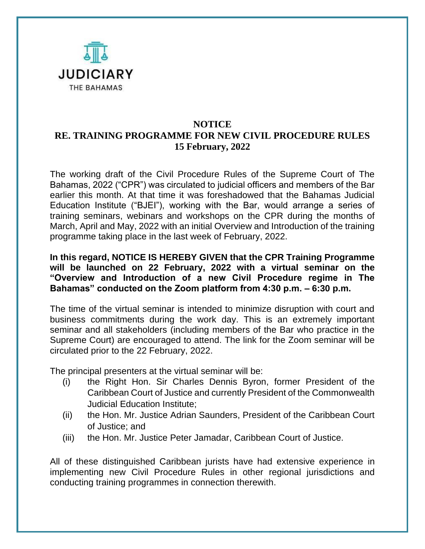

## **NOTICE RE. TRAINING PROGRAMME FOR NEW CIVIL PROCEDURE RULES 15 February, 2022**

The working draft of the Civil Procedure Rules of the Supreme Court of The Bahamas, 2022 ("CPR") was circulated to judicial officers and members of the Bar earlier this month. At that time it was foreshadowed that the Bahamas Judicial Education Institute ("BJEI"), working with the Bar, would arrange a series of training seminars, webinars and workshops on the CPR during the months of March, April and May, 2022 with an initial Overview and Introduction of the training programme taking place in the last week of February, 2022.

**In this regard, NOTICE IS HEREBY GIVEN that the CPR Training Programme will be launched on 22 February, 2022 with a virtual seminar on the "Overview and Introduction of a new Civil Procedure regime in The Bahamas" conducted on the Zoom platform from 4:30 p.m. – 6:30 p.m.** 

The time of the virtual seminar is intended to minimize disruption with court and business commitments during the work day. This is an extremely important seminar and all stakeholders (including members of the Bar who practice in the Supreme Court) are encouraged to attend. The link for the Zoom seminar will be circulated prior to the 22 February, 2022.

The principal presenters at the virtual seminar will be:

- (i) the Right Hon. Sir Charles Dennis Byron, former President of the Caribbean Court of Justice and currently President of the Commonwealth Judicial Education Institute;
- (ii) the Hon. Mr. Justice Adrian Saunders, President of the Caribbean Court of Justice; and
- (iii) the Hon. Mr. Justice Peter Jamadar, Caribbean Court of Justice.

All of these distinguished Caribbean jurists have had extensive experience in implementing new Civil Procedure Rules in other regional jurisdictions and conducting training programmes in connection therewith.